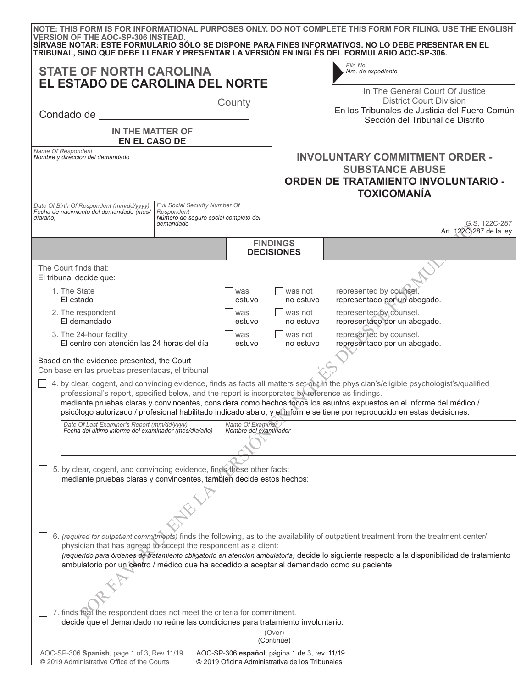| <b>VERSION OF THE AOC-SP-306 INSTEAD.</b>                                                                                                                                                                                                                                                                                                                                                                                                                                                     |                                                                                                                                               |               |                                                                                                                                     | NOTE: THIS FORM IS FOR INFORMATIONAL PURPOSES ONLY. DO NOT COMPLETE THIS FORM FOR FILING, USE THE ENGLISH<br>SÍRVASE NOTAR: ESTE FORMULARIO SÓLO SE DISPONE PARA FINES INFORMATIVOS. NO LO DEBE PRESENTAR EN EL<br>TRIBUNAL, SINO QUE DEBE LLENAR Y PRESENTAR LA VERSIÓN EN INGLÉS DEL FORMULARIO AOC-SP-306. |  |  |  |
|-----------------------------------------------------------------------------------------------------------------------------------------------------------------------------------------------------------------------------------------------------------------------------------------------------------------------------------------------------------------------------------------------------------------------------------------------------------------------------------------------|-----------------------------------------------------------------------------------------------------------------------------------------------|---------------|-------------------------------------------------------------------------------------------------------------------------------------|---------------------------------------------------------------------------------------------------------------------------------------------------------------------------------------------------------------------------------------------------------------------------------------------------------------|--|--|--|
| <b>STATE OF NORTH CAROLINA</b><br>EL ESTADO DE CAROLINA DEL NORTE                                                                                                                                                                                                                                                                                                                                                                                                                             |                                                                                                                                               | County        |                                                                                                                                     | File No.<br>Nro. de expediente<br>In The General Court Of Justice<br><b>District Court Division</b>                                                                                                                                                                                                           |  |  |  |
| Condado de <b>Estado Estado de Estado de Estado de Estado de Estado de Estado de Estado de Estado de Estado de Estado de Estado de Estado de Estado de Estado de Estado de Estado de Estado de Estado de Estado de Estado de Est</b>                                                                                                                                                                                                                                                          |                                                                                                                                               |               |                                                                                                                                     | En los Tribunales de Justicia del Fuero Común<br>Sección del Tribunal de Distrito                                                                                                                                                                                                                             |  |  |  |
| IN THE MATTER OF<br><b>EN EL CASO DE</b>                                                                                                                                                                                                                                                                                                                                                                                                                                                      |                                                                                                                                               |               |                                                                                                                                     |                                                                                                                                                                                                                                                                                                               |  |  |  |
| Name Of Respondent<br>Nombre y dirección del demandado                                                                                                                                                                                                                                                                                                                                                                                                                                        |                                                                                                                                               |               | <b>INVOLUNTARY COMMITMENT ORDER -</b><br><b>SUBSTANCE ABUSE</b><br><b>ORDEN DE TRATAMIENTO INVOLUNTARIO -</b><br><b>TOXICOMANÍA</b> |                                                                                                                                                                                                                                                                                                               |  |  |  |
| Fecha de nacimiento del demandado (mes/<br>día/año)                                                                                                                                                                                                                                                                                                                                                                                                                                           | Date Of Birth Of Respondent (mm/dd/yyyy)<br>Full Social Security Number Of<br>Respondent<br>Número de seguro social completo del<br>demandado |               | G.S. 122C-287<br>Art. 122C-287 de la ley                                                                                            |                                                                                                                                                                                                                                                                                                               |  |  |  |
|                                                                                                                                                                                                                                                                                                                                                                                                                                                                                               |                                                                                                                                               |               | <b>FINDINGS</b><br><b>DECISIONES</b>                                                                                                |                                                                                                                                                                                                                                                                                                               |  |  |  |
| The Court finds that:<br>El tribunal decide que:                                                                                                                                                                                                                                                                                                                                                                                                                                              |                                                                                                                                               |               |                                                                                                                                     |                                                                                                                                                                                                                                                                                                               |  |  |  |
| 1. The State<br>El estado                                                                                                                                                                                                                                                                                                                                                                                                                                                                     |                                                                                                                                               | was<br>estuvo | was not<br>no estuvo                                                                                                                | represented by counsel.<br>representado por un abogado.                                                                                                                                                                                                                                                       |  |  |  |
| 2. The respondent<br>El demandado                                                                                                                                                                                                                                                                                                                                                                                                                                                             |                                                                                                                                               | was<br>estuvo | was not<br>no estuvo                                                                                                                | represented by counsel.<br>representado por un abogado.                                                                                                                                                                                                                                                       |  |  |  |
| 3. The 24-hour facility<br>El centro con atención las 24 horas del día                                                                                                                                                                                                                                                                                                                                                                                                                        |                                                                                                                                               | was<br>estuvo | was not<br>no estuvo                                                                                                                | represented by counsel.<br>representado por un abogado.                                                                                                                                                                                                                                                       |  |  |  |
| Based on the evidence presented, the Court<br>Con base en las pruebas presentadas, el tribunal                                                                                                                                                                                                                                                                                                                                                                                                |                                                                                                                                               |               |                                                                                                                                     |                                                                                                                                                                                                                                                                                                               |  |  |  |
| 4. by clear, cogent, and convincing evidence, finds as facts all matters set-out in the physician's/eligible psychologist's/qualified<br>professional's report, specified below, and the report is incorporated by reference as findings.<br>mediante pruebas claras y convincentes, considera como hechos todos los asuntos expuestos en el informe del médico /<br>psicólogo autorizado / profesional habilitado indicado abajo, y el informe se tiene por reproducido en estas decisiones. |                                                                                                                                               |               |                                                                                                                                     |                                                                                                                                                                                                                                                                                                               |  |  |  |
| Date Of Last Examiner's Report (mm/dd/yyyy)<br>Name Of Examiner<br>Fecha del último informe del examinador (mes/día/año)<br>Nombre del examinador                                                                                                                                                                                                                                                                                                                                             |                                                                                                                                               |               |                                                                                                                                     |                                                                                                                                                                                                                                                                                                               |  |  |  |
| 5. by clear, cogent, and convincing evidence, finds these other facts:                                                                                                                                                                                                                                                                                                                                                                                                                        |                                                                                                                                               |               |                                                                                                                                     |                                                                                                                                                                                                                                                                                                               |  |  |  |
| mediante pruebas claras y convincentes, también decide estos hechos:                                                                                                                                                                                                                                                                                                                                                                                                                          |                                                                                                                                               |               |                                                                                                                                     |                                                                                                                                                                                                                                                                                                               |  |  |  |
|                                                                                                                                                                                                                                                                                                                                                                                                                                                                                               |                                                                                                                                               |               |                                                                                                                                     |                                                                                                                                                                                                                                                                                                               |  |  |  |
| 6. (required for outpatient commitments) finds the following, as to the availability of outpatient treatment from the treatment center/<br>physician that has agreed to accept the respondent as a client:<br>(requerido para órdenes de tratamiento obligatorio en atención ambulatoria) decide lo siguiente respecto a la disponibilidad de tratamiento<br>ambulatorio por un centro / médico que ha accedido a aceptar al demandado como su paciente:                                      |                                                                                                                                               |               |                                                                                                                                     |                                                                                                                                                                                                                                                                                                               |  |  |  |
|                                                                                                                                                                                                                                                                                                                                                                                                                                                                                               |                                                                                                                                               |               |                                                                                                                                     |                                                                                                                                                                                                                                                                                                               |  |  |  |
| 7. finds that the respondent does not meet the criteria for commitment.<br>decide que el demandado no reúne las condiciones para tratamiento involuntario.                                                                                                                                                                                                                                                                                                                                    |                                                                                                                                               |               |                                                                                                                                     |                                                                                                                                                                                                                                                                                                               |  |  |  |
| (Over)<br>(Continúe)                                                                                                                                                                                                                                                                                                                                                                                                                                                                          |                                                                                                                                               |               |                                                                                                                                     |                                                                                                                                                                                                                                                                                                               |  |  |  |
| AOC-SP-306 Spanish, page 1 of 3, Rev 11/19<br>AOC-SP-306 español, página 1 de 3, rev. 11/19                                                                                                                                                                                                                                                                                                                                                                                                   |                                                                                                                                               |               |                                                                                                                                     |                                                                                                                                                                                                                                                                                                               |  |  |  |

© 2019 Oficina Administrativa de los Tribunales

© 2019 Administrative Office of the Courts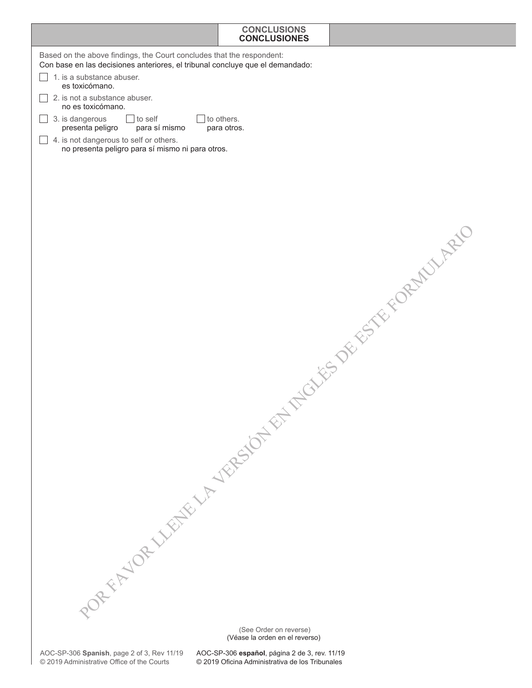## **CONCLUSIONS CONCLUSIONES**

|                                                                                                                                                        | <b>CONCLUSIONES</b>       |                             |
|--------------------------------------------------------------------------------------------------------------------------------------------------------|---------------------------|-----------------------------|
| Based on the above findings, the Court concludes that the respondent:<br>Con base en las decisiones anteriores, el tribunal concluye que el demandado: |                           |                             |
| 1. is a substance abuser.<br>es toxicómano.                                                                                                            |                           |                             |
| 2. is not a substance abuser.<br>no es toxicómano.                                                                                                     |                           |                             |
| $\overline{\phantom{a}}$ to self<br>3. is dangerous<br>presenta peligro<br>para sí mismo                                                               | to others.<br>para otros. |                             |
| 4. is not dangerous to self or others.<br>no presenta peligro para sí mismo ni para otros.                                                             |                           |                             |
|                                                                                                                                                        |                           |                             |
|                                                                                                                                                        |                           |                             |
|                                                                                                                                                        |                           |                             |
|                                                                                                                                                        |                           |                             |
|                                                                                                                                                        |                           |                             |
|                                                                                                                                                        |                           |                             |
|                                                                                                                                                        |                           |                             |
|                                                                                                                                                        |                           |                             |
|                                                                                                                                                        |                           | LET TUCKS DE ESTE FORMULATO |
|                                                                                                                                                        |                           |                             |
|                                                                                                                                                        |                           |                             |
|                                                                                                                                                        |                           |                             |
|                                                                                                                                                        |                           |                             |
|                                                                                                                                                        |                           |                             |
|                                                                                                                                                        |                           |                             |
|                                                                                                                                                        |                           |                             |
|                                                                                                                                                        |                           |                             |
|                                                                                                                                                        |                           |                             |
|                                                                                                                                                        |                           |                             |
|                                                                                                                                                        |                           |                             |
|                                                                                                                                                        |                           |                             |
|                                                                                                                                                        |                           |                             |
|                                                                                                                                                        |                           |                             |
| PORFEL WEBER WARESONE                                                                                                                                  |                           |                             |
|                                                                                                                                                        | (See Order on reverse)    |                             |

(Véase la orden en el reverso)

AOC-SP-306 **español**, página 2 de 3, rev. 11/19 © 2019 Oficina Administrativa de los Tribunales